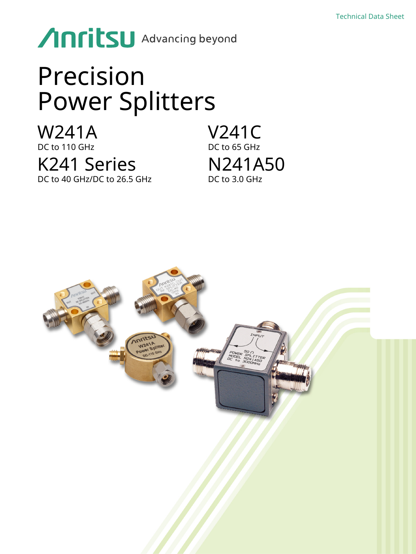# Anritsu Advancing beyond

# Precision Power Splitters

W241A DC to 110 GHz K241 Series DC to 40 GHz/DC to 26.5 GHz

V241C DC to 65 GHz N241A50 DC to 3.0 GHz

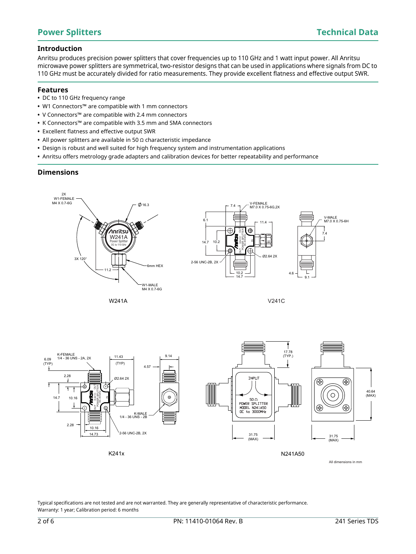# **Introduction**

Anritsu produces precision power splitters that cover frequencies up to 110 GHz and 1 watt input power. All Anritsu microwave power splitters are symmetrical, two-resistor designs that can be used in applications where signals from DC to 110 GHz must be accurately divided for ratio measurements. They provide excellent flatness and effective output SWR.

## **Features**

- **•** DC to 110 GHz frequency range
- **•** W1 Connectors™ are compatible with 1 mm connectors
- **•** V Connectors™ are compatible with 2.4 mm connectors
- **•** K Connectors™ are compatible with 3.5 mm and SMA connectors
- **•** Excellent flatness and effective output SWR
- **•** All power splitters are available in 50 Ω characteristic impedance
- **•** Design is robust and well suited for high frequency system and instrumentation applications
- **•** Anritsu offers metrology grade adapters and calibration devices for better repeatability and performance

# **Dimensions**





V241C



Typical specifications are not tested and are not warranted. They are generally representative of characteristic performance. Warranty: 1 year; Calibration period: 6 months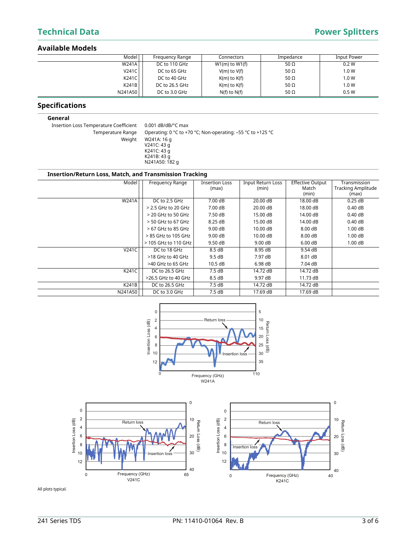# **Technical Data** Power Splitters

## **Available Models**

| Model   | Frequency Range | Connectors         | Impedance   | Input Power |
|---------|-----------------|--------------------|-------------|-------------|
| W241A   | DC to 110 GHz   | $W1(m)$ to $W1(f)$ | 50 $\Omega$ | 0.2 W       |
| V241C   | DC to 65 GHz    | $V(m)$ to $V(f)$   | 50 $\Omega$ | 1.0 W       |
| K241C   | DC to 40 GHz    | $K(m)$ to $K(f)$   | 50 $\Omega$ | 1.0 W       |
| K241B   | DC to 26.5 GHz  | $K(m)$ to $K(f)$   | 50 $\Omega$ | 1.0 W       |
| N241A50 | DC to 3.0 GHz   | $N(f)$ to $N(f)$   | 50 $\Omega$ | 0.5W        |

# **Specifications**

### **General**

Insertion Loss Temperature Coefficient 0.001 dB/dB/°C max

Temperature Range Operating: 0 °C to +70 °C; Non-operating: -55 °C to +125 °C Weight W241A: 16 g V241C: 43 g K241C: 43 g K241B: 43 g N241A50: 182 g

## **Insertion/Return Loss, Match, and Transmission Tracking**

| Model        | Frequency Range      | <b>Insertion Loss</b> | Input Return Loss | <b>Effective Output</b> | Transmission              |
|--------------|----------------------|-----------------------|-------------------|-------------------------|---------------------------|
|              |                      | (max)                 | (min)             | Match                   | <b>Tracking Amplitude</b> |
|              |                      |                       |                   | (min)                   | (max)                     |
| <b>W241A</b> | DC to 2.5 GHz        | 7.00 dB               | 20.00 dB          | 18.00 dB                | 0.25dB                    |
|              | > 2.5 GHz to 20 GHz  | 7.00 dB               | 20.00 dB          | 18.00 dB                | 0.40dB                    |
|              | $>$ 20 GHz to 50 GHz | 7.50 dB               | 15.00 dB          | 14.00 dB                | 0.40dB                    |
|              | $>$ 50 GHz to 67 GHz | 8.25 dB               | 15.00 dB          | 14.00 dB                | 0.40dB                    |
|              | $>67$ GHz to 85 GHz  | 9.00 dB               | $10.00$ dB        | 8.00 dB                 | 1.00dB                    |
|              | > 85 GHz to 105 GHz  | 9.00 dB               | 10.00 dB          | 8.00 dB                 | 1.00dB                    |
|              | > 105 GHz to 110 GHz | 9.50dB                | $9.00 \text{ dB}$ | 6.00 dB                 | 1.00dB                    |
| V241C        | DC to 18 GHz         | 8.5dB                 | 8.95 dB           | 9.54 dB                 |                           |
|              | $>18$ GHz to 40 GHz  | 9.5 dB                | 7.97 dB           | 8.01 dB                 |                           |
|              | >40 GHz to 65 GHz    | 10.5 dB               | 6.98dB            | 7.04 dB                 |                           |
| K241C        | DC to 26.5 GHz       | 7.5dB                 | 14.72 dB          | 14.72 dB                |                           |
|              | >26.5 GHz to 40 GHz  | 8.5dB                 | 9.97 dB           | 11.73 dB                |                           |
| K241B        | DC to 26.5 GHz       | 7.5 dB                | 14.72 dB          | 14.72 dB                |                           |
| N241A50      | DC to 3.0 GHz        | 7.5dB                 | 17.69 dB          | 17.69 dB                |                           |





All plots typical.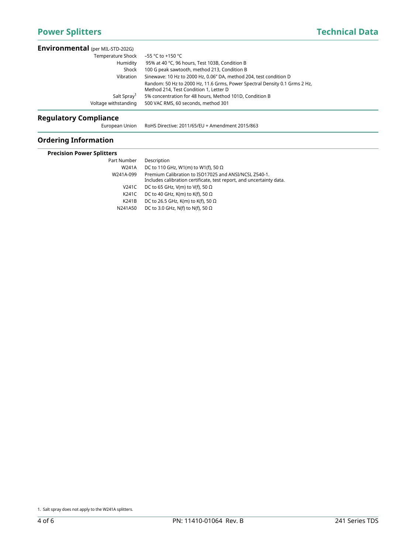| <b>Environmental</b> (per MIL-STD-202G)         |                                                                                                                                                                                            |  |
|-------------------------------------------------|--------------------------------------------------------------------------------------------------------------------------------------------------------------------------------------------|--|
| Temperature Shock<br>Humidity<br>Shock          | –55 °C to +150 °C<br>95% at 40 °C, 96 hours, Test 103B, Condition B<br>100 G peak sawtooth, method 213, Condition B                                                                        |  |
| Vibration                                       | Sinewave: 10 Hz to 2000 Hz, 0.06" DA, method 204, test condition D<br>Random: 50 Hz to 2000 Hz, 11.6 Grms, Power Spectral Density 0.1 Grms 2 Hz,<br>Method 214, Test Condition 1, Letter D |  |
| Salt Spray <sup>1</sup><br>Voltage withstanding | 5% concentration for 48 hours, Method 101D, Condition B<br>500 VAC RMS, 60 seconds, method 301                                                                                             |  |

# **Regulatory Compliance**

European Union RoHS Directive: 2011/65/EU + Amendment 2015/863

# **Ordering Information**

| <b>Precision Power Splitters</b> |                                                                                                                               |  |  |  |
|----------------------------------|-------------------------------------------------------------------------------------------------------------------------------|--|--|--|
| Part Number                      | Description                                                                                                                   |  |  |  |
| W241A                            | DC to 110 GHz, W1(m) to W1(f), 50 $\Omega$                                                                                    |  |  |  |
| W241A-099                        | Premium Calibration to ISO17025 and ANSI/NCSL Z540-1.<br>Includes calibration certificate, test report, and uncertainty data. |  |  |  |
| V241C                            | DC to 65 GHz, V(m) to V(f), 50 $\Omega$                                                                                       |  |  |  |
| K241C                            | DC to 40 GHz, K(m) to K(f), 50 $\Omega$                                                                                       |  |  |  |
| K241B                            | DC to 26.5 GHz, K(m) to K(f), 50 $\Omega$                                                                                     |  |  |  |
| N241A50                          | DC to 3.0 GHz, N(f) to N(f), 50 $\Omega$                                                                                      |  |  |  |
|                                  |                                                                                                                               |  |  |  |

<sup>1.</sup> Salt spray does not apply to the W241A splitters.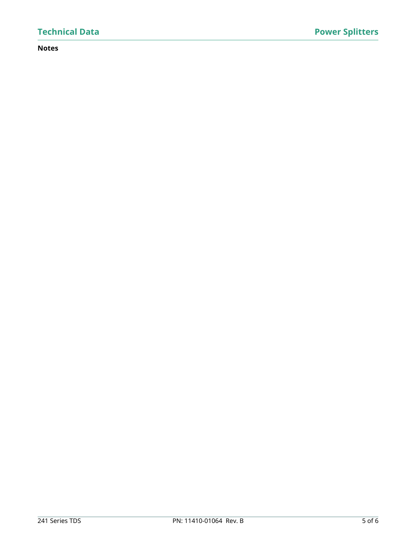# **Notes**